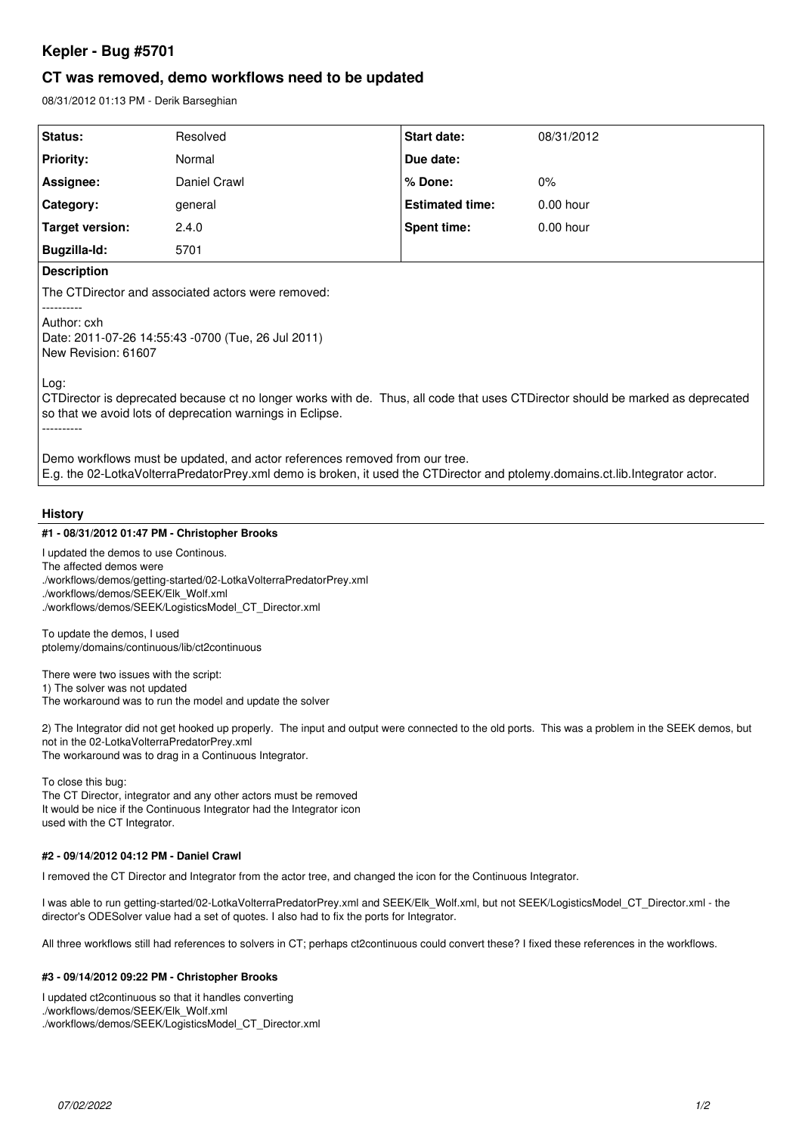# **Kepler - Bug #5701**

## **CT was removed, demo workflows need to be updated**

08/31/2012 01:13 PM - Derik Barseghian

| Status:                                                                                                                                                                                                      | Resolved     | <b>Start date:</b>     | 08/31/2012  |
|--------------------------------------------------------------------------------------------------------------------------------------------------------------------------------------------------------------|--------------|------------------------|-------------|
| <b>Priority:</b>                                                                                                                                                                                             | Normal       | Due date:              |             |
| Assignee:                                                                                                                                                                                                    | Daniel Crawl | % Done:                | $0\%$       |
| Category:                                                                                                                                                                                                    | general      | <b>Estimated time:</b> | $0.00$ hour |
| Target version:                                                                                                                                                                                              | 2.4.0        | <b>Spent time:</b>     | $0.00$ hour |
| Bugzilla-Id:                                                                                                                                                                                                 | 5701         |                        |             |
| <b>Description</b>                                                                                                                                                                                           |              |                        |             |
| The CTDirector and associated actors were removed:                                                                                                                                                           |              |                        |             |
| Author: cxh<br>Date: 2011-07-26 14:55:43 -0700 (Tue, 26 Jul 2011)<br>New Revision: 61607                                                                                                                     |              |                        |             |
| Log:<br>CTDirector is deprecated because ct no longer works with de. Thus, all code that uses CTDirector should be marked as deprecated<br>so that we avoid lots of deprecation warnings in Eclipse.         |              |                        |             |
| Demo workflows must be updated, and actor references removed from our tree.<br>E.g. the 02-LotkaVolterraPredatorPrey.xml demo is broken, it used the CTDirector and ptolemy.domains.ct.lib.Integrator actor. |              |                        |             |
|                                                                                                                                                                                                              |              |                        |             |

### **History**

#### **#1 - 08/31/2012 01:47 PM - Christopher Brooks**

I updated the demos to use Continous. The affected demos were ./workflows/demos/getting-started/02-LotkaVolterraPredatorPrey.xml ./workflows/demos/SEEK/Elk\_Wolf.xml ./workflows/demos/SEEK/LogisticsModel\_CT\_Director.xml

To update the demos, I used ptolemy/domains/continuous/lib/ct2continuous

There were two issues with the script:

1) The solver was not updated

The workaround was to run the model and update the solver

2) The Integrator did not get hooked up properly. The input and output were connected to the old ports. This was a problem in the SEEK demos, but not in the 02-LotkaVolterraPredatorPrey.xml The workaround was to drag in a Continuous Integrator.

To close this bug:

The CT Director, integrator and any other actors must be removed It would be nice if the Continuous Integrator had the Integrator icon used with the CT Integrator.

#### **#2 - 09/14/2012 04:12 PM - Daniel Crawl**

I removed the CT Director and Integrator from the actor tree, and changed the icon for the Continuous Integrator.

I was able to run getting-started/02-LotkaVolterraPredatorPrey.xml and SEEK/Elk\_Wolf.xml, but not SEEK/LogisticsModel\_CT\_Director.xml - the director's ODESolver value had a set of quotes. I also had to fix the ports for Integrator.

All three workflows still had references to solvers in CT; perhaps ct2continuous could convert these? I fixed these references in the workflows.

#### **#3 - 09/14/2012 09:22 PM - Christopher Brooks**

I updated ct2continuous so that it handles converting ./workflows/demos/SEEK/Elk\_Wolf.xml ./workflows/demos/SEEK/LogisticsModel\_CT\_Director.xml